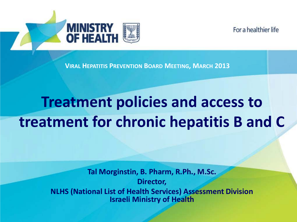



**VIRAL HEPATITIS PREVENTION BOARD MEETING, MARCH 2013**

# **Treatment policies and access to treatment for chronic hepatitis B and C**

**Tal Morginstin, B. Pharm, R.Ph., M.Sc. Director, NLHS (National List of Health Services) Assessment Division Israeli Ministry of Health**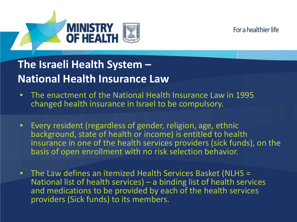



- The enactment of the National Health Insurance Law in 1995 changed health insurance in Israel to be compulsory.
- Every resident (regardless of gender, religion, age, ethnic background, state of health or income) is entitled to health insurance in one of the health services providers (sick funds), on the basis of open enrollment with no risk selection behavior.
- The Law defines an itemized Health Services Basket (NLHS = National list of health services) – a binding list of health services and medications to be provided by each of the health services providers (Sick funds) to its members.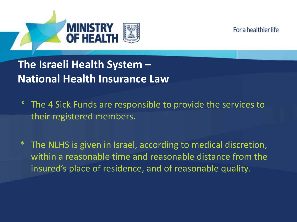



- The 4 Sick Funds are responsible to provide the services to their registered members.
- The NLHS is given in Israel, according to medical discretion, within a reasonable time and reasonable distance from the insured's place of residence, and of reasonable quality.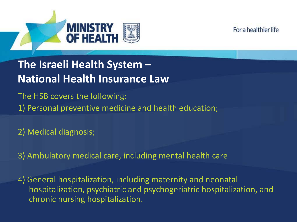



The HSB covers the following: 1) Personal preventive medicine and health education;

2) Medical diagnosis;

3) Ambulatory medical care, including mental health care

4) General hospitalization, including maternity and neonatal hospitalization, psychiatric and psychogeriatric hospitalization, and chronic nursing hospitalization.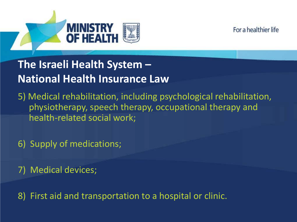



5) Medical rehabilitation, including psychological rehabilitation, physiotherapy, speech therapy, occupational therapy and health-related social work;

6) Supply of medications;

7) Medical devices;

8) First aid and transportation to a hospital or clinic.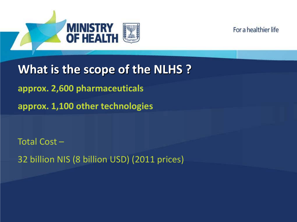



**What is the scope of the NLHS ? approx. 2,600 pharmaceuticals approx. 1,100 other technologies**

Total Cost – 32 billion NIS (8 billion USD) (2011 prices)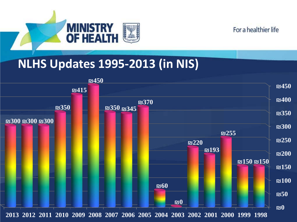

## **NLHS Updates 1995-2013 (in NIS)**

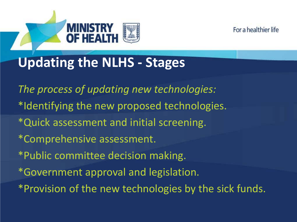

# **Updating the NLHS - Stages**

*The process of updating new technologies:* \*Identifying the new proposed technologies. \*Quick assessment and initial screening. \*Comprehensive assessment. \*Public committee decision making. \*Government approval and legislation. \*Provision of the new technologies by the sick funds.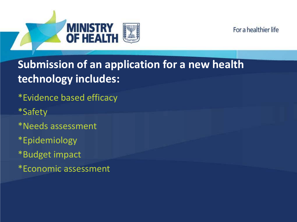

# **Submission of an application for a new health technology includes:**

\*Evidence based efficacy

**MINISTRY** 

- \*Safety
- \*Needs assessment
- \*Epidemiology
- \*Budget impact
- \*Economic assessment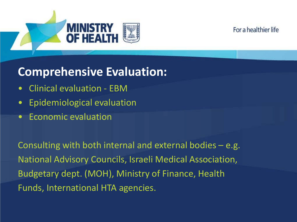



# **Comprehensive Evaluation:**

- Clinical evaluation EBM
- Epidemiological evaluation
- Economic evaluation

Consulting with both internal and external bodies – e.g. National Advisory Councils, Israeli Medical Association, Budgetary dept. (MOH), Ministry of Finance, Health Funds, International HTA agencies.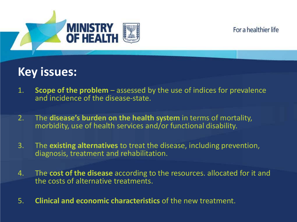



# **Key issues:**

- 1. **Scope of the problem**  assessed by the use of indices for prevalence and incidence of the disease-state.
- 2. The **disease's burden on the health system** in terms of mortality, morbidity, use of health services and/or functional disability.
- 3. The **existing alternatives** to treat the disease, including prevention, diagnosis, treatment and rehabilitation.
- 4. The **cost of the disease** according to the resources. allocated for it and the costs of alternative treatments.
- 5. **Clinical and economic characteristics** of the new treatment.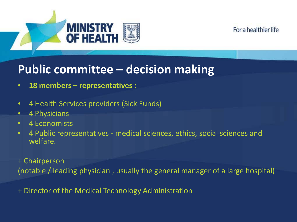



# **Public committee – decision making**

- **18 members – representatives :**
- 4 Health Services providers (Sick Funds)
- 4 Physicians
- 4 Economists
- 4 Public representatives medical sciences, ethics, social sciences and welfare.

+ Chairperson (notable / leading physician , usually the general manager of a large hospital)

+ Director of the Medical Technology Administration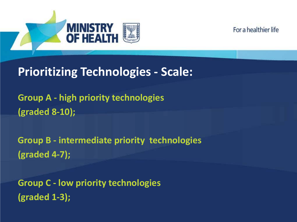



# **Prioritizing Technologies - Scale:**

**Group A - high priority technologies (graded 8-10);**

**Group B - intermediate priority technologies (graded 4-7);**

**Group C - low priority technologies (graded 1-3);**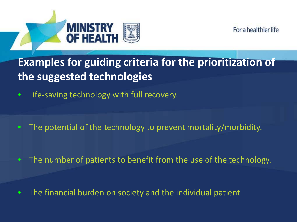



# **Examples for guiding criteria for the prioritization of the suggested technologies**

- Life-saving technology with full recovery.
- The potential of the technology to prevent mortality/morbidity.

• The number of patients to benefit from the use of the technology.

• The financial burden on society and the individual patient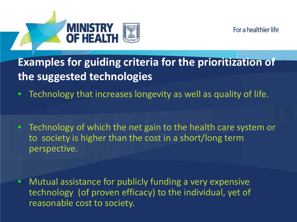



**Examples for guiding criteria for the prioritization of the suggested technologies**

• Technology that increases longevity as well as quality of life.

• Technology of which the net gain to the health care system or to society is higher than the cost in a short/long term perspective.

• Mutual assistance for publicly funding a very expensive technology (of proven efficacy) to the individual, yet of reasonable cost to society.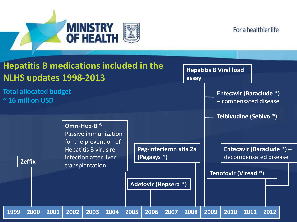



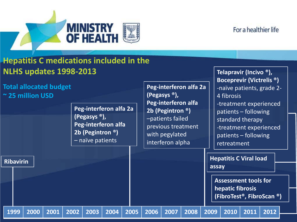

#### **Hepatitis C medications included in the NLHS updates 1998-2013**

**Total allocated budget ~ 25 million USD** 

**Ribavirin**

**Peg-interferon alfa 2a (Pegasys ®), Peg-interferon alfa 2b (Pegintron ®)** – naïve patients

**Peg-interferon alfa 2a (Pegasys ®), Peg-interferon alfa 2b (Pegintron ®)** –patients failed previous treatment with pegylated interferon alpha

**Telapravir (Incivo ®), Boceprevir (Victrelis ®)** -naïve patients, grade 2- 4 fibrosis -treatment experienced patients – following standard therapy -treatment experienced patients – following retreatment

**Hepatitis C Viral load assay**

**Assessment tools for hepatic fibrosis (FibroTest®, FibroScan ®)**

**1999 2000 2001 2002 2003 2004 2005 2006 2007 2008 2009 2010 2011 2012**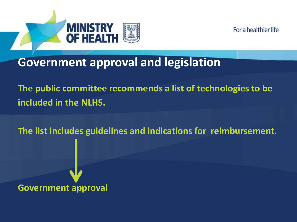



### **Government approval and legislation**

**The public committee recommends a list of technologies to be included in the NLHS.**

**The list includes guidelines and indications for reimbursement.**

**Government approval**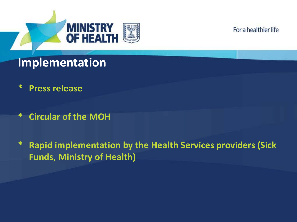

# **Implementation**

- **\* Press release**
- **\* Circular of the MOH**
- **\* Rapid implementation by the Health Services providers (Sick Funds, Ministry of Health)**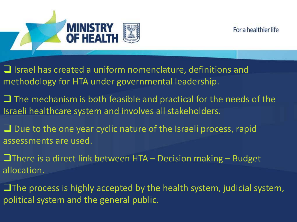



 $\Box$  Israel has created a uniform nomenclature, definitions and methodology for HTA under governmental leadership.

- $\Box$  The mechanism is both feasible and practical for the needs of the Israeli healthcare system and involves all stakeholders.
- $\Box$  Due to the one year cyclic nature of the Israeli process, rapid assessments are used.
- **There is a direct link between HTA Decision making Budget** allocation.
- $\square$  The process is highly accepted by the health system, judicial system, political system and the general public.